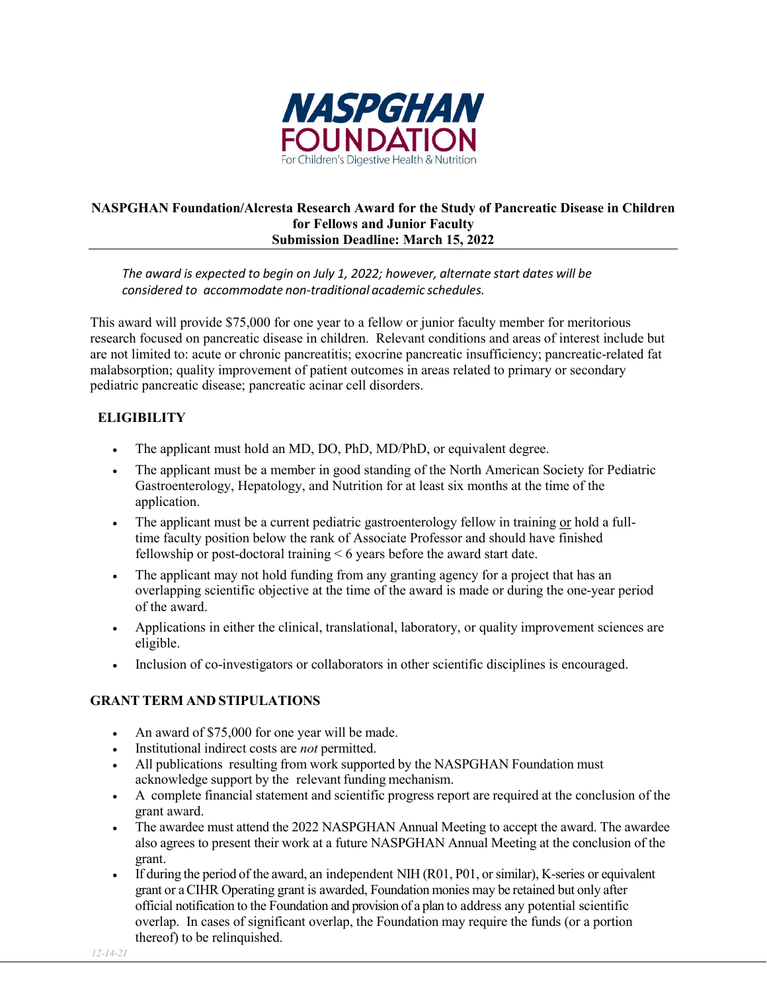

## **NASPGHAN Foundation/Alcresta Research Award for the Study of Pancreatic Disease in Children for Fellows and Junior Faculty Submission Deadline: March 15, 2022**

*The award is expected to begin on July 1, 2022; however, alternate start dates will be considered to accommodate non-traditional academic schedules.*

This award will provide \$75,000 for one year to a fellow or junior faculty member for meritorious research focused on pancreatic disease in children. Relevant conditions and areas of interest include but are not limited to: acute or chronic pancreatitis; exocrine pancreatic insufficiency; pancreatic-related fat malabsorption; quality improvement of patient outcomes in areas related to primary or secondary pediatric pancreatic disease; pancreatic acinar cell disorders.

# **ELIGIBILITY**

- The applicant must hold an MD, DO, PhD, MD/PhD, or equivalent degree.
- The applicant must be a member in good standing of the North American Society for Pediatric Gastroenterology, Hepatology, and Nutrition for at least six months at the time of the application.
- The applicant must be a current pediatric gastroenterology fellow in training or hold a fulltime faculty position below the rank of Associate Professor and should have finished fellowship or post-doctoral training < 6 years before the award start date.
- The applicant may not hold funding from any granting agency for a project that has an overlapping scientific objective at the time of the award is made or during the one-year period of the award.
- Applications in either the clinical, translational, laboratory, or quality improvement sciences are eligible.
- Inclusion of co-investigators or collaborators in other scientific disciplines is encouraged.

## **GRANT TERM AND STIPULATIONS**

- An award of \$75,000 for one year will be made.
- Institutional indirect costs are *not* permitted.
- All publications resulting from work supported by the NASPGHAN Foundation must acknowledge support by the relevant funding mechanism.
- A complete financial statement and scientific progress report are required at the conclusion of the grant award.
- The awardee must attend the 2022 NASPGHAN Annual Meeting to accept the award. The awardee also agrees to present their work at a future NASPGHAN Annual Meeting at the conclusion of the grant.
- If during the period of the award, an independent NIH (R01, P01, or similar), K-series or equivalent grant or a CIHR Operating grant is awarded, Foundation monies may be retained but only after official notification to the Foundation and provision of a plan to address any potential scientific overlap. In cases of significant overlap, the Foundation may require the funds (or a portion thereof) to be relinquished.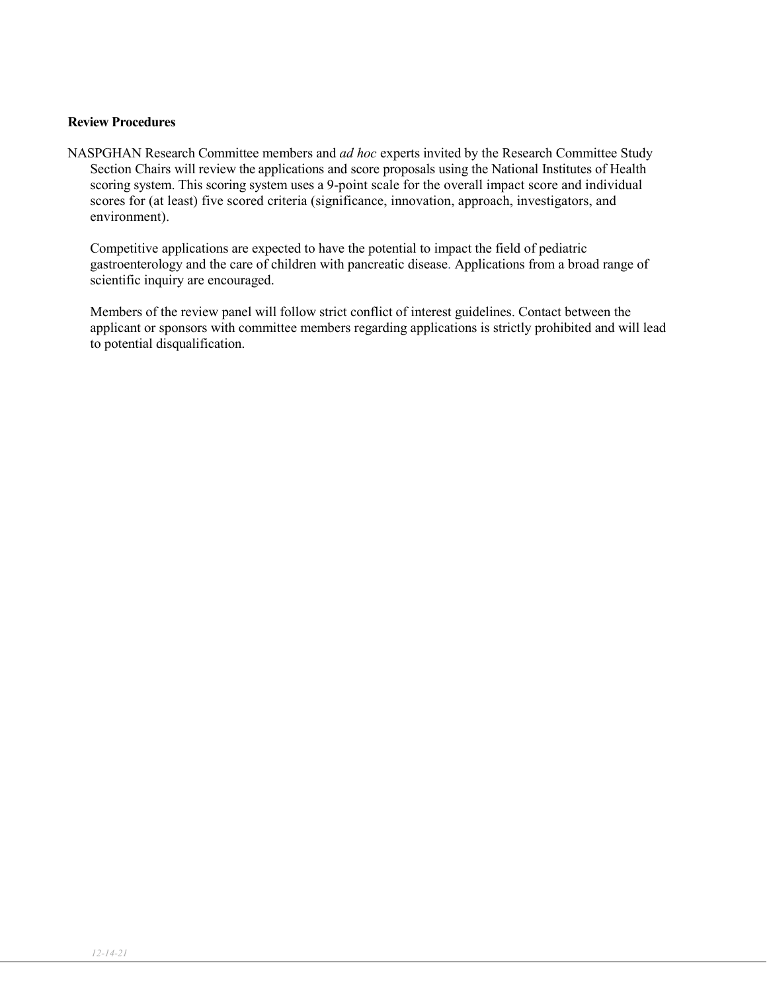#### **Review Procedures**

NASPGHAN Research Committee members and *ad hoc* experts invited by the Research Committee Study Section Chairs will review the applications and score proposals using the National Institutes of Health scoring system. This scoring system uses a 9-point scale for the overall impact score and individual scores for (at least) five scored criteria (significance, innovation, approach, investigators, and environment).

Competitive applications are expected to have the potential to impact the field of pediatric gastroenterology and the care of children with pancreatic disease. Applications from a broad range of scientific inquiry are encouraged.

Members of the review panel will follow strict conflict of interest guidelines. Contact between the applicant or sponsors with committee members regarding applications is strictly prohibited and will lead to potential disqualification.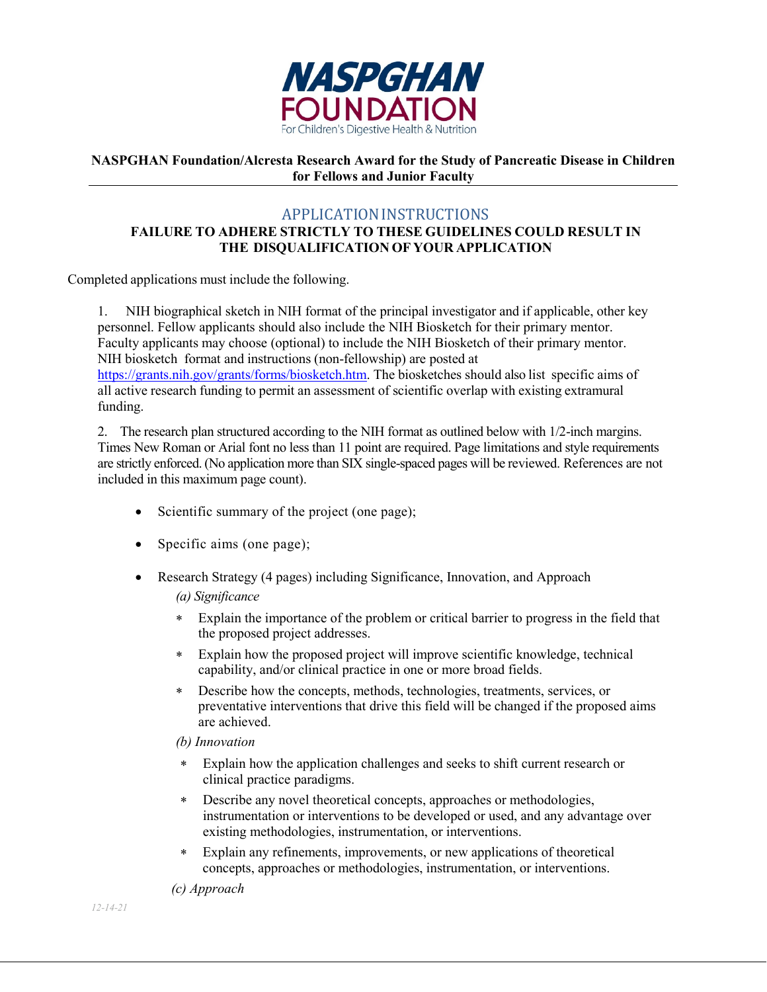

### **NASPGHAN Foundation/Alcresta Research Award for the Study of Pancreatic Disease in Children for Fellows and Junior Faculty**

# APPLICATIONINSTRUCTIONS

## **FAILURE TO ADHERE STRICTLY TO THESE GUIDELINES COULD RESULT IN THE DISQUALIFICATION OF YOUR APPLICATION**

Completed applications must include the following.

1. NIH biographical sketch in NIH format of the principal investigator and if applicable, other key personnel. Fellow applicants should also include the NIH Biosketch for their primary mentor. Faculty applicants may choose (optional) to include the NIH Biosketch of their primary mentor. NIH biosketch format and instructions (non-fellowship) are posted at [https://grants.nih.gov/grants/forms/biosketch.htm.](https://grants.nih.gov/grants/forms/biosketch.htm) The biosketches should also list specific aims of all active research funding to permit an assessment of scientific overlap with existing extramural funding.

2. The research plan structured according to the NIH format as outlined below with 1/2-inch margins. Times New Roman or Arial font no less than 11 point are required. Page limitations and style requirements are strictly enforced. (No application more than SIX single-spaced pages will be reviewed. References are not included in this maximum page count).

- Scientific summary of the project (one page);
- Specific aims (one page);
- Research Strategy (4 pages) including Significance, Innovation, and Approach

#### *(a) Significance*

- ∗ Explain the importance of the problem or critical barrier to progress in the field that the proposed project addresses.
- ∗ Explain how the proposed project will improve scientific knowledge, technical capability, and/or clinical practice in one or more broad fields.
- ∗ Describe how the concepts, methods, technologies, treatments, services, or preventative interventions that drive this field will be changed if the proposed aims are achieved.
- *(b) Innovation*
- ∗ Explain how the application challenges and seeks to shift current research or clinical practice paradigms.
- ∗ Describe any novel theoretical concepts, approaches or methodologies, instrumentation or interventions to be developed or used, and any advantage over existing methodologies, instrumentation, or interventions.
- ∗ Explain any refinements, improvements, or new applications of theoretical concepts, approaches or methodologies, instrumentation, or interventions.

*(c) Approach*